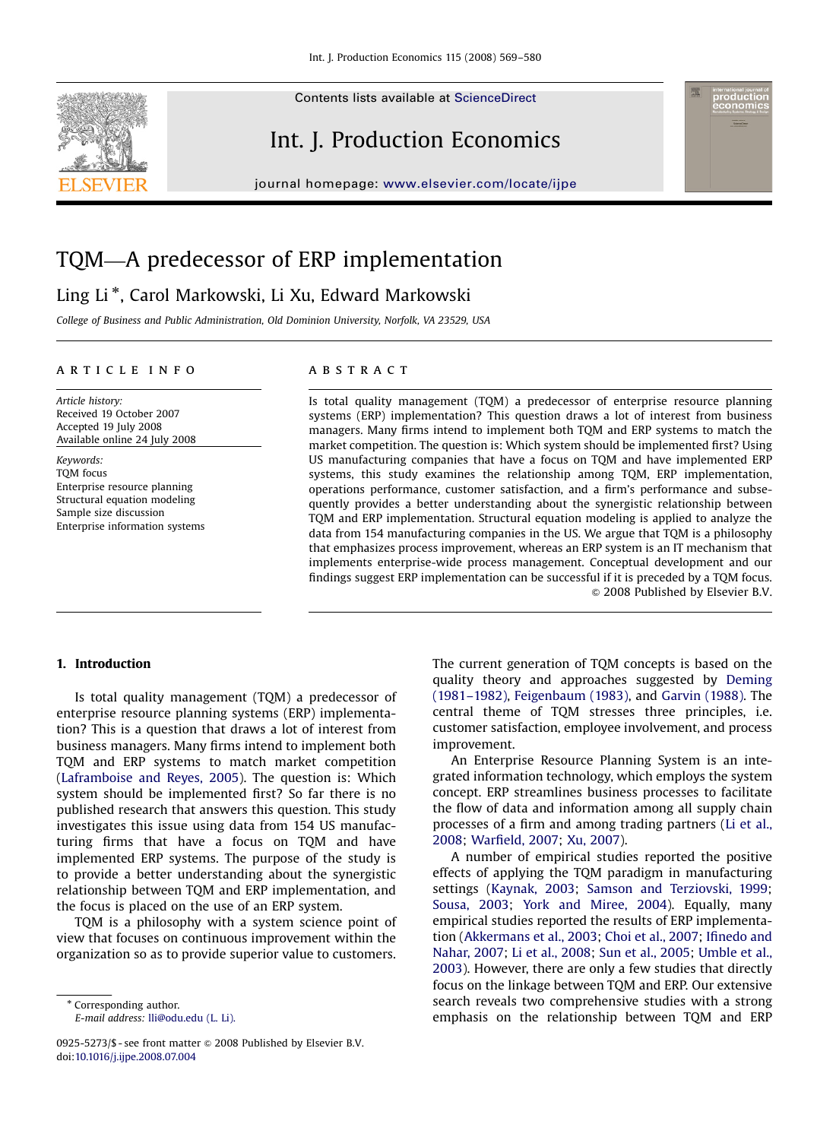Contents lists available at [ScienceDirect](www.sciencedirect.com/science/journal/proeco)

## Int. J. Production Economics

journal homepage: <www.elsevier.com/locate/ijpe>

# TQM—A predecessor of ERP implementation

### Ling Li <sup>\*</sup>, Carol Markowski, Li Xu, Edward Markowski

College of Business and Public Administration, Old Dominion University, Norfolk, VA 23529, USA

#### article info

Article history: Received 19 October 2007 Accepted 19 July 2008 Available online 24 July 2008

Keywords: TQM focus Enterprise resource planning Structural equation modeling Sample size discussion Enterprise information systems

#### **ABSTRACT**

Is total quality management (TQM) a predecessor of enterprise resource planning systems (ERP) implementation? This question draws a lot of interest from business managers. Many firms intend to implement both TQM and ERP systems to match the market competition. The question is: Which system should be implemented first? Using US manufacturing companies that have a focus on TQM and have implemented ERP systems, this study examines the relationship among TQM, ERP implementation, operations performance, customer satisfaction, and a firm's performance and subsequently provides a better understanding about the synergistic relationship between TQM and ERP implementation. Structural equation modeling is applied to analyze the data from 154 manufacturing companies in the US. We argue that TQM is a philosophy that emphasizes process improvement, whereas an ERP system is an IT mechanism that implements enterprise-wide process management. Conceptual development and our findings suggest ERP implementation can be successful if it is preceded by a TQM focus.  $\odot$  2008 Published by Elsevier B.V.

#### 1. Introduction

Is total quality management (TQM) a predecessor of enterprise resource planning systems (ERP) implementation? This is a question that draws a lot of interest from business managers. Many firms intend to implement both TQM and ERP systems to match market competition ([Laframboise and Reyes, 2005\)](#page--1-0). The question is: Which system should be implemented first? So far there is no published research that answers this question. This study investigates this issue using data from 154 US manufacturing firms that have a focus on TQM and have implemented ERP systems. The purpose of the study is to provide a better understanding about the synergistic relationship between TQM and ERP implementation, and the focus is placed on the use of an ERP system.

TQM is a philosophy with a system science point of view that focuses on continuous improvement within the organization so as to provide superior value to customers.

\* Corresponding author.

E-mail address: [lli@odu.edu \(L. Li\).](mailto:lli@odu.edu)

The current generation of TQM concepts is based on the quality theory and approaches suggested by [Deming](#page--1-0) [\(1981–1982\)](#page--1-0), [Feigenbaum \(1983\)](#page--1-0), and [Garvin \(1988\)](#page--1-0). The central theme of TQM stresses three principles, i.e. customer satisfaction, employee involvement, and process improvement.

An Enterprise Resource Planning System is an integrated information technology, which employs the system concept. ERP streamlines business processes to facilitate the flow of data and information among all supply chain processes of a firm and among trading partners ([Li et al.,](#page--1-0) [2008](#page--1-0); [Warfield, 2007;](#page--1-0) [Xu, 2007\)](#page--1-0).

A number of empirical studies reported the positive effects of applying the TQM paradigm in manufacturing settings [\(Kaynak, 2003;](#page--1-0) [Samson and Terziovski, 1999](#page--1-0); [Sousa, 2003;](#page--1-0) [York and Miree, 2004](#page--1-0)). Equally, many empirical studies reported the results of ERP implementation [\(Akkermans et al., 2003](#page--1-0); [Choi et al., 2007](#page--1-0); [Ifinedo and](#page--1-0) [Nahar, 2007](#page--1-0); [Li et al., 2008](#page--1-0); [Sun et al., 2005;](#page--1-0) [Umble et al.,](#page--1-0) [2003](#page--1-0)). However, there are only a few studies that directly focus on the linkage between TQM and ERP. Our extensive search reveals two comprehensive studies with a strong emphasis on the relationship between TQM and ERP



<sup>0925-5273/\$ -</sup> see front matter  $\odot$  2008 Published by Elsevier B.V. doi:[10.1016/j.ijpe.2008.07.004](dx.doi.org/10.1016/j.ijpe.2008.07.004)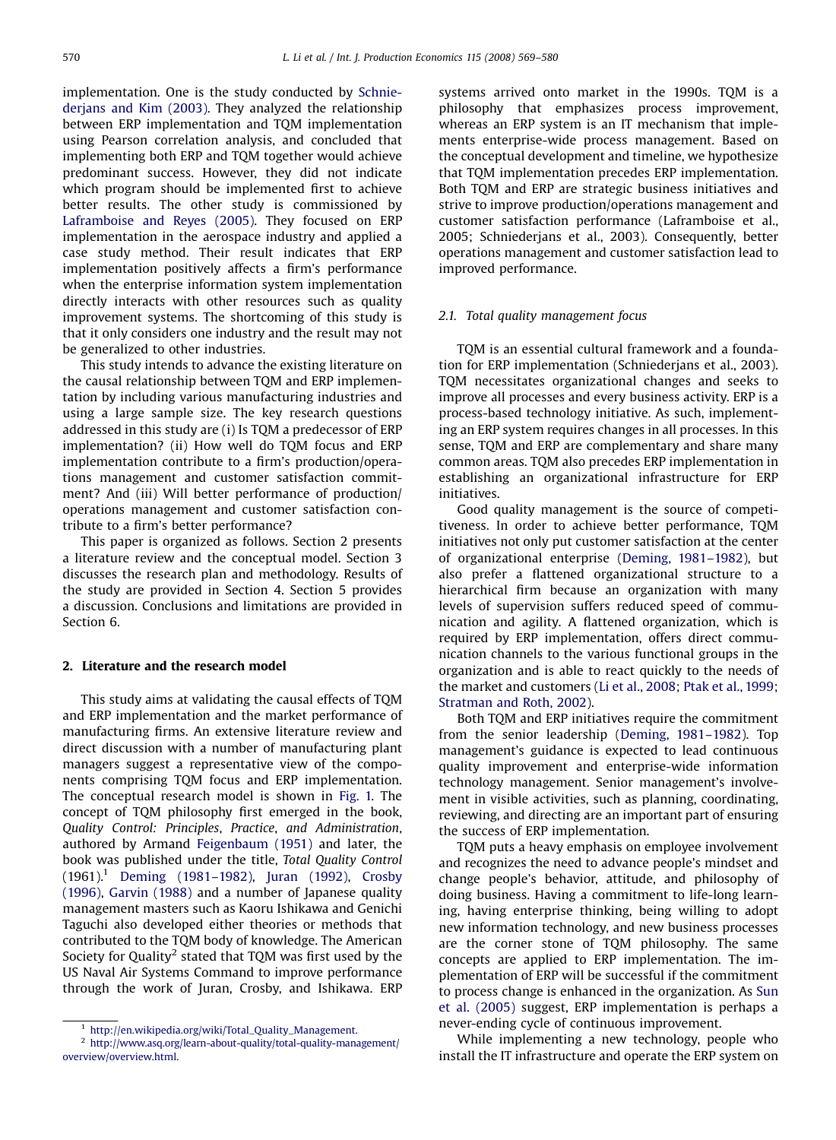implementation. One is the study conducted by [Schnie](#page--1-0)[derjans and Kim \(2003\)](#page--1-0). They analyzed the relationship between ERP implementation and TQM implementation using Pearson correlation analysis, and concluded that implementing both ERP and TQM together would achieve predominant success. However, they did not indicate which program should be implemented first to achieve better results. The other study is commissioned by [Laframboise and Reyes \(2005\).](#page--1-0) They focused on ERP implementation in the aerospace industry and applied a case study method. Their result indicates that ERP implementation positively affects a firm's performance when the enterprise information system implementation directly interacts with other resources such as quality improvement systems. The shortcoming of this study is that it only considers one industry and the result may not be generalized to other industries.

This study intends to advance the existing literature on the causal relationship between TQM and ERP implementation by including various manufacturing industries and using a large sample size. The key research questions addressed in this study are (i) Is TQM a predecessor of ERP implementation? (ii) How well do TQM focus and ERP implementation contribute to a firm's production/operations management and customer satisfaction commitment? And (iii) Will better performance of production/ operations management and customer satisfaction contribute to a firm's better performance?

This paper is organized as follows. Section 2 presents a literature review and the conceptual model. Section 3 discusses the research plan and methodology. Results of the study are provided in Section 4. Section 5 provides a discussion. Conclusions and limitations are provided in Section 6.

#### 2. Literature and the research model

This study aims at validating the causal effects of TQM and ERP implementation and the market performance of manufacturing firms. An extensive literature review and direct discussion with a number of manufacturing plant managers suggest a representative view of the components comprising TQM focus and ERP implementation. The conceptual research model is shown in [Fig. 1.](#page--1-0) The concept of TQM philosophy first emerged in the book, Quality Control: Principles, Practice, and Administration, authored by Armand [Feigenbaum \(1951\)](#page--1-0) and later, the book was published under the title, Total Quality Control  $(1961).$ <sup>1</sup> Deming  $(1981-1982)$ , Juran  $(1992)$ , [Crosby](#page--1-0) [\(1996\),](#page--1-0) [Garvin \(1988\)](#page--1-0) and a number of Japanese quality management masters such as Kaoru Ishikawa and Genichi Taguchi also developed either theories or methods that contributed to the TQM body of knowledge. The American Society for Quality<sup>2</sup> stated that TQM was first used by the US Naval Air Systems Command to improve performance through the work of Juran, Crosby, and Ishikawa. ERP

systems arrived onto market in the 1990s. TQM is a philosophy that emphasizes process improvement, whereas an ERP system is an IT mechanism that implements enterprise-wide process management. Based on the conceptual development and timeline, we hypothesize that TQM implementation precedes ERP implementation. Both TQM and ERP are strategic business initiatives and strive to improve production/operations management and customer satisfaction performance (Laframboise et al., 2005; Schniederjans et al., 2003). Consequently, better operations management and customer satisfaction lead to improved performance.

#### 2.1. Total quality management focus

TQM is an essential cultural framework and a foundation for ERP implementation (Schniederjans et al., 2003). TQM necessitates organizational changes and seeks to improve all processes and every business activity. ERP is a process-based technology initiative. As such, implementing an ERP system requires changes in all processes. In this sense, TQM and ERP are complementary and share many common areas. TQM also precedes ERP implementation in establishing an organizational infrastructure for ERP initiatives.

Good quality management is the source of competitiveness. In order to achieve better performance, TQM initiatives not only put customer satisfaction at the center of organizational enterprise [\(Deming, 1981–1982](#page--1-0)), but also prefer a flattened organizational structure to a hierarchical firm because an organization with many levels of supervision suffers reduced speed of communication and agility. A flattened organization, which is required by ERP implementation, offers direct communication channels to the various functional groups in the organization and is able to react quickly to the needs of the market and customers [\(Li et al., 2008](#page--1-0); [Ptak et al., 1999](#page--1-0); [Stratman and Roth, 2002](#page--1-0)).

Both TQM and ERP initiatives require the commitment from the senior leadership [\(Deming, 1981–1982](#page--1-0)). Top management's guidance is expected to lead continuous quality improvement and enterprise-wide information technology management. Senior management's involvement in visible activities, such as planning, coordinating, reviewing, and directing are an important part of ensuring the success of ERP implementation.

TQM puts a heavy emphasis on employee involvement and recognizes the need to advance people's mindset and change people's behavior, attitude, and philosophy of doing business. Having a commitment to life-long learning, having enterprise thinking, being willing to adopt new information technology, and new business processes are the corner stone of TQM philosophy. The same concepts are applied to ERP implementation. The implementation of ERP will be successful if the commitment to process change is enhanced in the organization. As [Sun](#page--1-0) [et al. \(2005\)](#page--1-0) suggest, ERP implementation is perhaps a never-ending cycle of continuous improvement.

While implementing a new technology, people who install the IT infrastructure and operate the ERP system on

[http://en.wikipedia.org/wiki/Total\\_Quality\\_Management.](http://en.wikipedia.org/wiki/Total_Quality_Management)

<sup>2</sup> [http://www.asq.org/learn-about-quality/total-quality-management/](http://www.asq.org/learn-about-quality/total-quality-management/overview/overview.html) [overview/overview.html](http://www.asq.org/learn-about-quality/total-quality-management/overview/overview.html).